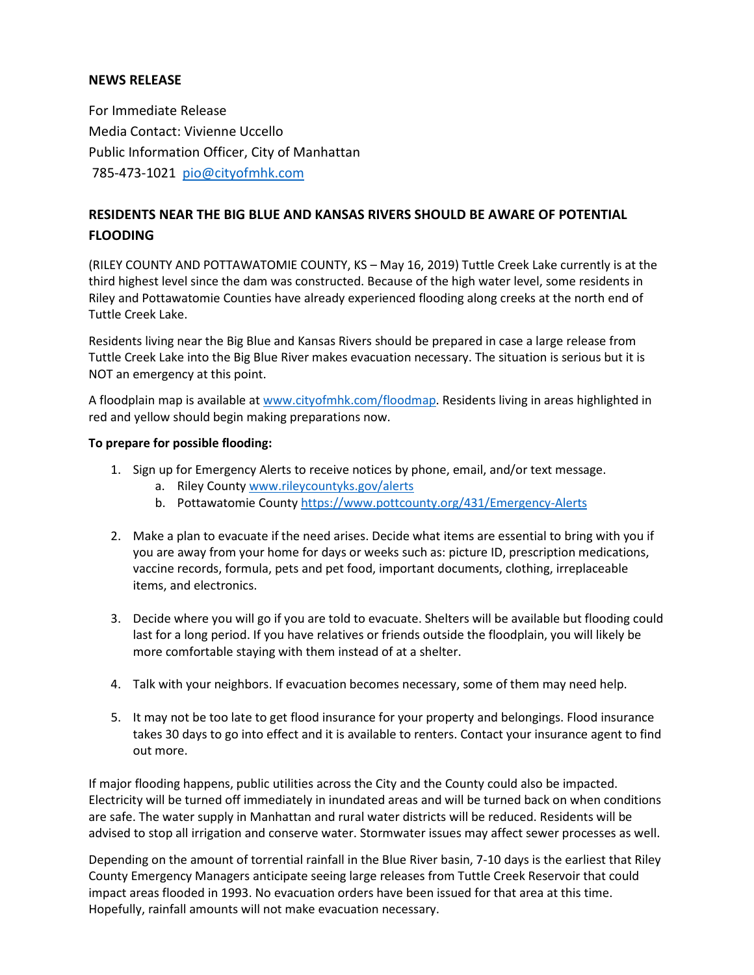## **NEWS RELEASE**

For Immediate Release Media Contact: Vivienne Uccello Public Information Officer, City of Manhattan 785-473-1021 [pio@cityofmhk.com](mailto:pio@cityofmhk.com)

# **RESIDENTS NEAR THE BIG BLUE AND KANSAS RIVERS SHOULD BE AWARE OF POTENTIAL FLOODING**

(RILEY COUNTY AND POTTAWATOMIE COUNTY, KS – May 16, 2019) Tuttle Creek Lake currently is at the third highest level since the dam was constructed. Because of the high water level, some residents in Riley and Pottawatomie Counties have already experienced flooding along creeks at the north end of Tuttle Creek Lake.

Residents living near the Big Blue and Kansas Rivers should be prepared in case a large release from Tuttle Creek Lake into the Big Blue River makes evacuation necessary. The situation is serious but it is NOT an emergency at this point.

A floodplain map is available a[t www.cityofmhk.com/floodmap.](http://www.cityofmhk.com/floodmap) Residents living in areas highlighted in red and yellow should begin making preparations now.

#### **To prepare for possible flooding:**

- 1. Sign up for Emergency Alerts to receive notices by phone, email, and/or text message.
	- a. Riley County [www.rileycountyks.gov/](http://www.rileycountyks.gov/)alerts
	- b. Pottawatomie Count[y https://www.pottcounty.org/431/Emergency-Alerts](https://www.pottcounty.org/431/Emergency-Alerts)
- 2. Make a plan to evacuate if the need arises. Decide what items are essential to bring with you if you are away from your home for days or weeks such as: picture ID, prescription medications, vaccine records, formula, pets and pet food, important documents, clothing, irreplaceable items, and electronics.
- 3. Decide where you will go if you are told to evacuate. Shelters will be available but flooding could last for a long period. If you have relatives or friends outside the floodplain, you will likely be more comfortable staying with them instead of at a shelter.
- 4. Talk with your neighbors. If evacuation becomes necessary, some of them may need help.
- 5. It may not be too late to get flood insurance for your property and belongings. Flood insurance takes 30 days to go into effect and it is available to renters. Contact your insurance agent to find out more.

If major flooding happens, public utilities across the City and the County could also be impacted. Electricity will be turned off immediately in inundated areas and will be turned back on when conditions are safe. The water supply in Manhattan and rural water districts will be reduced. Residents will be advised to stop all irrigation and conserve water. Stormwater issues may affect sewer processes as well.

Depending on the amount of torrential rainfall in the Blue River basin, 7-10 days is the earliest that Riley County Emergency Managers anticipate seeing large releases from Tuttle Creek Reservoir that could impact areas flooded in 1993. No evacuation orders have been issued for that area at this time. Hopefully, rainfall amounts will not make evacuation necessary.